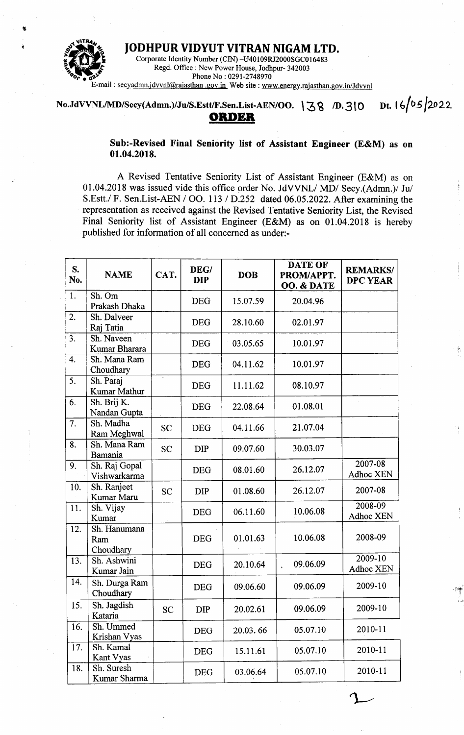

JODHPUR VIDYUT VITRAN NIGAM LTD. Corporate Identity Number (CIN) -U40109RJ2000SGC016483 Regd. Office: New Power House, Jodhpur- 342003 Phone No: 0291-2748970 E-mail: secyadmn.jdvvnl@rajasthan.gov.in Web site: www.energy.rajasthan.gov.in/Jdvvnl

Dt.  $16/05/2022$ No.JdVVNL/MD/Secy(Admn.)/Ju/S.Estt/F.Sen.List-AEN/OO. 138 /D.310

## **ORDER**

Sub:-Revised Final Seniority list of Assistant Engineer (E&M) as on 01.04.2018.

A Revised Tentative Seniority List of Assistant Engineer (E&M) as on 01.04.2018 was issued vide this office order No. JdVVNL/ MD/ Secy.(Admn.)/ Ju/ S.Estt./ F. Sen.List-AEN / OO. 113 / D.252 dated 06.05.2022. After examining the representation as received against the Revised Tentative Seniority List, the Revised Final Seniority list of Assistant Engineer (E&M) as on 01.04.2018 is hereby published for information of all concerned as under:-

| S.<br>No.        | <b>NAME</b>                      | CAT.      | DEG/<br><b>DIP</b> | <b>DOB</b> | DATE OF<br>PROM/APPT.<br>OO. & DATE | <b>REMARKS/</b><br><b>DPC YEAR</b> |
|------------------|----------------------------------|-----------|--------------------|------------|-------------------------------------|------------------------------------|
| 1.               | Sh. Om<br>Prakash Dhaka          |           | <b>DEG</b>         | 15.07.59   | 20.04.96                            |                                    |
| 2.               | Sh. Dalveer<br>Raj Tatia         |           | <b>DEG</b>         | 28.10.60   | 02.01.97                            |                                    |
| 3.               | Sh. Naveen<br>Kumar Bharara      |           | <b>DEG</b>         | 03.05.65   | 10.01.97                            |                                    |
| 4.               | Sh. Mana Ram<br>Choudhary        |           | <b>DEG</b>         | 04.11.62   | 10.01.97                            |                                    |
| 5.               | Sh. Paraj<br>Kumar Mathur        |           | <b>DEG</b>         | 11.11.62   | 08.10.97                            |                                    |
| 6.               | Sh. Brij K.<br>Nandan Gupta      |           | <b>DEG</b>         | 22.08.64   | 01.08.01                            |                                    |
| $\overline{7}$ . | Sh. Madha<br>Ram Meghwal         | <b>SC</b> | <b>DEG</b>         | 04.11.66   | 21.07.04                            |                                    |
| 8.               | Sh. Mana Ram<br>Bamania          | <b>SC</b> | <b>DIP</b>         | 09.07.60   | 30.03.07                            |                                    |
| 9.               | Sh. Raj Gopal<br>Vishwarkarma    |           | <b>DEG</b>         | 08.01.60   | 26.12.07                            | 2007-08<br>Adhoc XEN               |
| 10.              | Sh. Ranjeet<br>Kumar Maru        | <b>SC</b> | <b>DIP</b>         | 01.08.60   | 26.12.07                            | 2007-08                            |
| 11.              | Sh. Vijay<br>Kumar               |           | <b>DEG</b>         | 06.11.60   | 10.06.08                            | 2008-09<br>Adhoc XEN               |
| 12.              | Sh. Hanumana<br>Ram<br>Choudhary |           | <b>DEG</b>         | 01.01.63   | 10.06.08                            | 2008-09                            |
| 13.              | Sh. Ashwini<br>Kumar Jain        |           | <b>DEG</b>         | 20.10.64   | 09.06.09                            | 2009-10<br>Adhoc XEN               |
| 14.              | Sh. Durga Ram<br>Choudhary       |           | <b>DEG</b>         | 09.06.60   | 09.06.09                            | 2009-10                            |
| 15.              | Sh. Jagdish<br>Kataria           | <b>SC</b> | DIP                | 20.02.61   | 09.06.09                            | 2009-10                            |
| 16.              | Sh. Ummed<br>Krishan Vyas        |           | <b>DEG</b>         | 20.03.66   | 05.07.10                            | 2010-11                            |
| 17.              | Sh. Kamal<br>Kant Vyas           |           | <b>DEG</b>         | 15.11.61   | 05.07.10                            | 2010-11                            |
| 18.              | Sh. Suresh<br>Kumar Sharma       |           | DEG                | 03.06.64   | 05.07.10                            | 2010-11                            |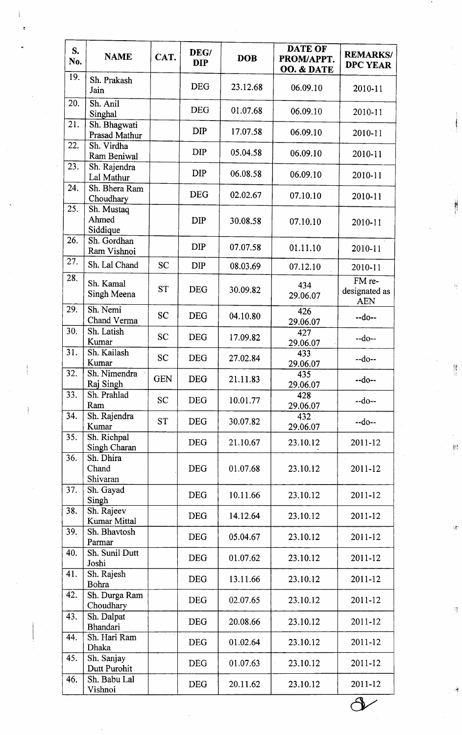| S.<br>No. | <b>NAME</b>                     | CAT.       | DEG/<br><b>DIP</b> | <b>DOB</b> | <b>DATE OF</b><br>PROM/APPT.<br>OO. & DATE | <b>REMARKS/</b><br><b>DPC YEAR</b>    |
|-----------|---------------------------------|------------|--------------------|------------|--------------------------------------------|---------------------------------------|
| 19.       | Sh. Prakash<br>Jain             |            | <b>DEG</b>         | 23.12.68   | 06.09.10                                   | 2010-11                               |
| 20.       | Sh. Anil<br>Singhal             |            | <b>DEG</b>         | 01.07.68   | 06.09.10                                   | 2010-11                               |
| 21.       | Sh. Bhagwati<br>Prasad Mathur   |            | DIP                | 17.07.58   | 06.09.10                                   | 2010-11                               |
| 22.       | Sh. Virdha<br>Ram Beniwal       |            | <b>DIP</b>         | 05.04.58   | 06.09.10                                   | 2010-11                               |
| 23.       | Sh. Rajendra<br>Lal Mathur      |            | <b>DIP</b>         | 06.08.58   | 06.09.10                                   | 2010-11                               |
| 24.       | Sh. Bhera Ram<br>Choudhary      |            | <b>DEG</b>         | 02.02.67   | 07.10.10                                   | 2010-11                               |
| 25.       | Sh. Mustaq<br>Ahmed<br>Siddique |            | <b>DIP</b>         | 30.08.58   | 07.10.10                                   | 2010-11                               |
| 26.       | Sh. Gordhan<br>Ram Vishnoi      |            | <b>DIP</b>         | 07.07.58   | 01.11.10                                   | 2010-11                               |
| 27.       | Sh. Lal Chand                   | <b>SC</b>  | <b>DIP</b>         | 08.03.69   | 07.12.10                                   | 2010-11                               |
| 28.       | Sh. Kamal<br>Singh Meena        | <b>ST</b>  | <b>DEG</b>         | 30.09.82   | 434<br>29.06.07                            | FM re-<br>designated as<br><b>AEN</b> |
| 29.       | Sh. Nemi<br>Chand Verma         | <b>SC</b>  | <b>DEG</b>         | 04.10.80   | 426<br>29.06.07                            | $-do-$                                |
| 30.       | Sh. Latish<br>Kumar             | <b>SC</b>  | <b>DEG</b>         | 17.09.82   | 427<br>29.06.07                            | $-do-$                                |
| 31.       | Sh. Kailash<br>Kumar            | <b>SC</b>  | <b>DEG</b>         | 27.02.84   | 433<br>29.06.07                            | $-do-$                                |
| 32.       | Sh. Nimendra<br>Raj Singh       | <b>GEN</b> | <b>DEG</b>         | 21.11.83   | 435<br>29.06.07                            | $-do-$                                |
| 33.       | Sh. Prahlad<br>Ram              | <b>SC</b>  | <b>DEG</b>         | 10.01.77   | 428<br>29.06.07                            | $-do-$                                |
| 34.       | Sh. Rajendra<br>Kumar           | <b>ST</b>  | <b>DEG</b>         | 30.07.82   | 432<br>29.06.07                            | $-do-$                                |
| 35.       | Sh. Richpal<br>Singh Charan     |            | <b>DEG</b>         | 21.10.67   | 23.10.12                                   | 2011-12                               |
| 36.       | Sh. Dhira<br>Chand<br>Shivaran  |            | <b>DEG</b>         | 01.07.68   | 23.10.12                                   | 2011-12                               |
| 37.       | Sh. Gayad<br>Singh              |            | <b>DEG</b>         | 10.11.66   | 23.10.12                                   | 2011-12                               |
| 38.       | Sh. Rajeev<br>Kumar Mittal      |            | <b>DEG</b>         | 14.12.64   | 23.10.12                                   | 2011-12                               |
| 39.       | Sh. Bhavtosh<br>Parmar          |            | <b>DEG</b>         | 05.04.67   | 23.10.12                                   | 2011-12                               |
| 40.       | Sh. Sunil Dutt<br>Joshi         |            | <b>DEG</b>         | 01.07.62   | 23.10.12                                   | 2011-12                               |
| 41.       | Sh. Rajesh<br>Bohra             |            | <b>DEG</b>         | 13.11.66   | 23.10.12                                   | 2011-12                               |
| 42.       | Sh. Durga Ram<br>Choudhary      |            | <b>DEG</b>         | 02.07.65   | 23.10.12                                   | 2011-12                               |
| 43.       | Sh. Dalpat<br><b>Bhandari</b>   |            | <b>DEG</b>         | 20.08.66   | 23.10.12                                   | 2011-12                               |
| 44.       | Sh. Hari Ram<br>Dhaka           |            | <b>DEG</b>         | 01.02.64   | 23.10.12                                   | 2011-12                               |
| 45.       | Sh. Sanjay<br>Dutt Purohit      |            | <b>DEG</b>         | 01.07.63   | 23.10.12                                   | 2011-12                               |
| 46.       | Sh. Babu Lal<br>Vishnoi         |            | <b>DEG</b>         | 20.11.62   | 23.10.12                                   | 2011-12                               |

 $\frac{\partial}{\partial t}$ 

 $\frac{1}{2}$ 

rg.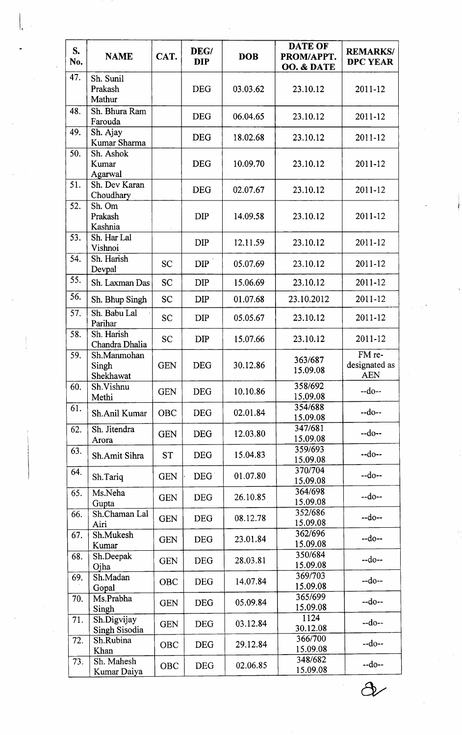| S.<br>No. | <b>NAME</b>                                              | CAT.       | DEG/<br><b>DIP</b> | <b>DOB</b>       | <b>DATE OF</b><br>PROM/APPT.<br>OO. & DATE | <b>REMARKS/</b><br><b>DPC YEAR</b>    |
|-----------|----------------------------------------------------------|------------|--------------------|------------------|--------------------------------------------|---------------------------------------|
| 47.       | Sh. Sunil<br>Prakash<br>Mathur                           |            | <b>DEG</b>         | 03.03.62         | 23.10.12                                   | 2011-12                               |
| 48.       | Sh. Bhura Ram<br>Farouda                                 |            | <b>DEG</b>         | 06.04.65         | 23.10.12                                   | 2011-12                               |
| 49.       | Sh. Ajay<br>Kumar Sharma                                 |            | <b>DEG</b>         | 18.02.68         | 23.10.12                                   | 2011-12                               |
| 50.       | Sh. Ashok<br>Kumar<br>Agarwal                            |            | <b>DEG</b>         | 10.09.70         | 23.10.12                                   | 2011-12                               |
| 51.       | Sh. Dev Karan<br>Choudhary                               |            | <b>DEG</b>         | 02.07.67         | 23.10.12                                   | 2011-12                               |
| 52.       | Sh. Om<br>Prakash<br>Kashnia                             |            | <b>DIP</b>         | 14.09.58         | 23.10.12                                   | 2011-12                               |
| 53.       | Sh. Har Lal<br>Vishnoi                                   |            | <b>DIP</b>         | 12.11.59         | 23.10.12                                   | $2011 - 12$                           |
| 54.       | Sh. Harish<br>Devpal                                     | <b>SC</b>  | <b>DIP</b>         | 05.07.69         | 23.10.12                                   | 2011-12                               |
| 55.       | Sh. Laxman Das                                           | <b>SC</b>  | <b>DIP</b>         | 15.06.69         | 23.10.12                                   | 2011-12                               |
| 56.       | Sh. Bhup Singh                                           | <b>SC</b>  | <b>DIP</b>         | 01.07.68         | 23.10.2012                                 | 2011-12                               |
| 57.       | Sh. Babu Lal<br>Parihar                                  | <b>SC</b>  | <b>DIP</b>         | 05.05.67         | 23.10.12                                   | 2011-12                               |
| 58.       | Sh. Harish<br>Chandra Dhalia                             | <b>SC</b>  | <b>DIP</b>         | 15.07.66         | 23.10.12                                   | 2011-12                               |
| 59.       | Sh.Manmohan<br>Singh<br>Shekhawat                        | <b>GEN</b> | <b>DEG</b>         | 30.12.86         | 363/687<br>15.09.08                        | FM re-<br>designated as<br><b>AEN</b> |
| 60.       | Sh.Vishnu<br>Methi                                       | <b>GEN</b> | <b>DEG</b>         | 10.10.86         | 358/692<br>15.09.08                        | $-do-$                                |
| 61.       | Sh.Anil Kumar                                            | <b>OBC</b> | <b>DEG</b>         | 02.01.84         | 354/688<br>15.09.08                        | $-do-$                                |
| 62.       | Sh. Jitendra<br>Arora                                    | <b>GEN</b> | <b>DEG</b>         | 12.03.80         | 347/681<br>15.09.08                        | $-do-$                                |
| 63.       | Sh.Amit Sihra                                            | <b>ST</b>  | <b>DEG</b>         | 15.04.83         | 359/693<br>15.09.08                        | $-do-$                                |
| 64.       | Sh.Tariq                                                 | <b>GEN</b> | DEG <sup>®</sup>   | 01.07.80         | 370/704<br>15.09.08                        | $-do-$                                |
| 65.       | Ms.Neha<br>Gupta                                         | <b>GEN</b> | <b>DEG</b>         | 26.10.85         | 364/698<br>15.09.08                        | $-do-$                                |
| 66.       | Sh.Chaman Lal<br>Airi                                    | <b>GEN</b> | <b>DEG</b>         | 08.12.78         | 352/686<br>15.09.08                        | $-do-$                                |
| 67.       | Sh.Mukesh<br>Kumar                                       | <b>GEN</b> | <b>DEG</b>         | 23.01.84         | 362/696<br>15.09.08                        | $-do-$                                |
| 68.       | Sh.Deepak<br>Ojha                                        | <b>GEN</b> | <b>DEG</b>         | 28.03.81         | 350/684<br>15.09.08                        | $-do-$                                |
| 69.       | Sh.Madan<br>Gopal                                        | OBC        | <b>DEG</b>         | 14.07.84         | 369/703<br>15.09.08                        | $-do-$                                |
| 70.       | Ms.Prabha<br>Singh                                       | <b>GEN</b> | <b>DEG</b>         | 05.09.84         | 365/699<br>15.09.08                        | $-do-$                                |
| 71.       | Sh.Digvijay<br><b>DEG</b><br><b>GEN</b><br>Singh Sisodia |            | 03.12.84           | 1124<br>30.12.08 | $-do-$                                     |                                       |
| 72.       | Sh.Rubina<br>Khan                                        | OBC        | <b>DEG</b>         | 29.12.84         | 366/700<br>15.09.08                        | $-do-$                                |
| 73.       | Sh. Mahesh<br>Kumar Daiya                                | OBC        | <b>DEG</b>         | 02.06.85         | 348/682<br>15.09.08                        | $-do-$                                |

l.

 $\partial\!\!\!\!-\!\!\partial\!\!\!\!-\!\!\partial\!\!\!\!-\!\!\partial\!\!\!\!-\!\!\partial\!\!\!\!-\!\!\partial\!\!\!\!-\!\!\partial\!\!\!\!-\!\!\partial\!\!\!\!-\!\!\partial\!\!\!\!-\!\!\partial\!\!\!\!-\!\!\partial\!\!\!\!-\!\!\partial\!\!\!\!-\!\!\partial\!\!\!\!-\!\!\partial\!\!\!\!-\!\!\partial\!\!\!\!-\!\!\partial\!\!\!\!-\!\!\partial\!\!\!-\!\!\partial\!\!\!-\!\!\partial\!\!\!-\!\!\partial\!\!\!-\!\!\partial\!\!\!-\!\!\partial\!\!\!-\!\!\partial\!\!\!-\!\!\partial\!\!\!-\!\!\partial\!\!\!-\!\!\partial\!\$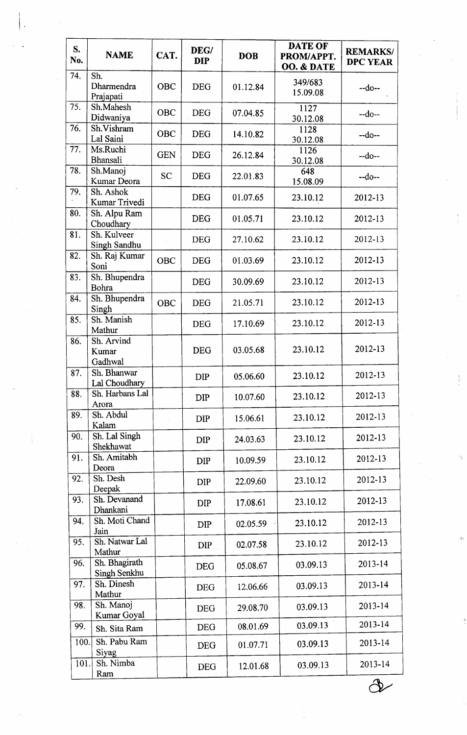| S.<br>No. | <b>NAME</b>                    | CAT.       | DEG/<br><b>DIP</b> | <b>DOB</b> | <b>DATE OF</b><br>PROM/APPT.<br>OO. & DATE | <b>REMARKS/</b><br><b>DPC YEAR</b> |
|-----------|--------------------------------|------------|--------------------|------------|--------------------------------------------|------------------------------------|
| 74.       | Sh.<br>Dharmendra<br>Prajapati | <b>OBC</b> | <b>DEG</b>         | 01.12.84   | 349/683<br>15.09.08                        | $-do-$                             |
| 75.       | Sh.Mahesh<br>Didwaniya         | OBC        | <b>DEG</b>         | 07.04.85   | 1127<br>30.12.08                           | $-do-$                             |
| 76.       | Sh.Vishram<br>Lal Saini        | OBC        | <b>DEG</b>         | 14.10.82   | 1128<br>30.12.08                           | $-do-$                             |
| 77.       | Ms.Ruchi<br>Bhansali           | <b>GEN</b> | <b>DEG</b>         | 26.12.84   | 1126<br>30.12.08                           | $-do-$                             |
| 78.       | Sh.Manoj<br>Kumar Deora        | <b>SC</b>  | <b>DEG</b>         | 22.01.83   | 648<br>15.08.09                            | $-do-$                             |
| 79.       | Sh. Ashok<br>Kumar Trivedi     |            | <b>DEG</b>         | 01.07.65   | 23.10.12                                   | 2012-13                            |
| 80.       | Sh. Alpu Ram<br>Choudhary      |            | <b>DEG</b>         | 01.05.71   | 23.10.12                                   | 2012-13                            |
| 81.       | Sh. Kulveer<br>Singh Sandhu    |            | <b>DEG</b>         | 27.10.62   | 23.10.12                                   | 2012-13                            |
| 82.       | Sh. Raj Kumar<br>Soni          | <b>OBC</b> | <b>DEG</b>         | 01.03.69   | 23.10.12                                   | 2012-13                            |
| 83.       | Sh. Bhupendra<br>Bohra         |            | <b>DEG</b>         | 30.09.69   | 23.10.12                                   | 2012-13                            |
| 84.       | Sh. Bhupendra<br>Singh         | <b>OBC</b> | <b>DEG</b>         | 21.05.71   | 23.10.12                                   | 2012-13                            |
| 85.       | Sh. Manish<br>Mathur           |            | <b>DEG</b>         | 17.10.69   | 23.10.12                                   | 2012-13                            |
| 86.       | Sh. Arvind<br>Kumar<br>Gadhwal |            | <b>DEG</b>         | 03.05.68   | 23.10.12                                   | 2012-13                            |
| 87.       | Sh. Bhanwar<br>Lal Choudhary   |            | DIP                | 05.06.60   | 23.10.12                                   | 2012-13                            |
| 88.       | Sh. Harbans Lal<br>Arora       |            | DIP                | 10.07.60   | 23.10.12                                   | 2012-13                            |
| 89.       | Sh. Abdul<br>Kalam             |            | <b>DIP</b>         | 15.06.61   | 23.10.12                                   | 2012-13                            |
| 90.       | Sh. Lal Singh<br>Shekhawat     |            | DIP                | 24.03.63   | 23.10.12                                   | 2012-13                            |
| 91.       | Sh. Amitabh<br>Deora           |            | <b>DIP</b>         | 10.09.59   | 23.10.12                                   | 2012-13                            |
| 92.       | Sh. Desh<br>Deepak             |            | <b>DIP</b>         | 22.09.60   | 23.10.12                                   | 2012-13                            |
| 93.       | Sh. Devanand<br>Dhankani       |            | <b>DIP</b>         | 17.08.61   | 23.10.12                                   | 2012-13                            |
| 94.       | Sh. Moti Chand<br>Jain         |            | <b>DIP</b>         | 02.05.59   | 23.10.12                                   | 2012-13                            |
| 95.       | Sh. Natwar Lal<br>Mathur       |            | <b>DIP</b>         | 02.07.58   | 23.10.12                                   | 2012-13                            |
| 96.       | Sh. Bhagirath<br>Singh Senkhu  |            | <b>DEG</b>         | 05.08.67   | 03.09.13                                   | 2013-14                            |
| 97.       | Sh. Dinesh<br>Mathur           |            | <b>DEG</b>         | 12.06.66   | 03.09.13                                   | 2013-14                            |
| 98.       | Sh. Manoj<br>Kumar Goyal       |            | <b>DEG</b>         | 29.08.70   | 03.09.13                                   | 2013-14                            |
| 99.       | Sh. Sita Ram                   |            | <b>DEG</b>         | 08.01.69   | 03.09.13                                   | 2013-14                            |
| 100.      | Sh. Pabu Ram<br>Siyag          |            | <b>DEG</b>         | 01.07.71   | 03.09.13                                   | 2013-14                            |
| 101.      | Sh. Nimba<br>Ram               |            | <b>DEG</b>         | 12.01.68   | 03.09.13                                   | 2013-14                            |
|           |                                |            |                    |            |                                            |                                    |

Ū

I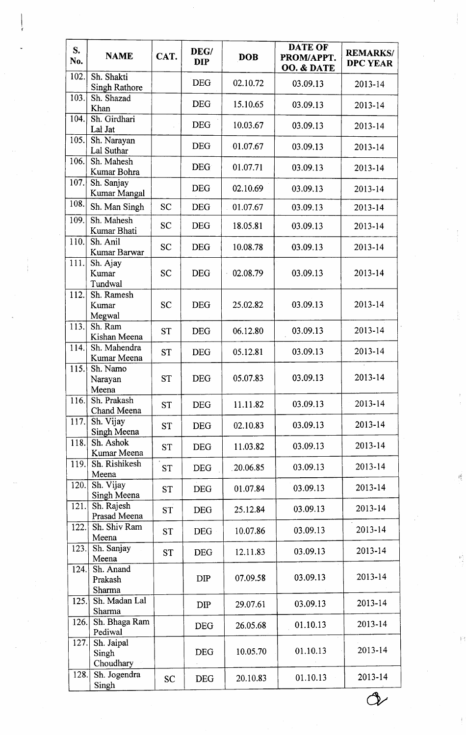| S.<br>No. | <b>NAME</b>                        | CAT.      | DEG/<br><b>DIP</b> | <b>DOB</b> | <b>DATE OF</b><br>PROM/APPT.<br>OO. & DATE | <b>REMARKS/</b><br><b>DPC YEAR</b> |
|-----------|------------------------------------|-----------|--------------------|------------|--------------------------------------------|------------------------------------|
| 102.      | Sh. Shakti<br><b>Singh Rathore</b> |           | <b>DEG</b>         | 02.10.72   | 03.09.13                                   | 2013-14                            |
| 103.      | Sh. Shazad<br>Khan                 |           | <b>DEG</b>         | 15.10.65   | 03.09.13                                   | 2013-14                            |
| 104.      | Sh. Girdhari<br>Lal Jat            |           | <b>DEG</b>         | 10.03.67   | 03.09.13                                   | 2013-14                            |
| 105.      | Sh. Narayan<br>Lal Suthar          |           | <b>DEG</b>         | 01.07.67   | 03.09.13                                   | 2013-14                            |
| 106.      | Sh. Mahesh<br>Kumar Bohra          |           | <b>DEG</b>         | 01.07.71   | 03.09.13                                   | 2013-14                            |
| 107.      | Sh. Sanjay<br>Kumar Mangal         |           | <b>DEG</b>         | 02.10.69   | 03.09.13                                   | 2013-14                            |
| 108.      | Sh. Man Singh                      | <b>SC</b> | <b>DEG</b>         | 01.07.67   | 03.09.13                                   | 2013-14                            |
| 109.      | Sh. Mahesh<br>Kumar Bhati          | <b>SC</b> | <b>DEG</b>         | 18.05.81   | 03.09.13                                   | 2013-14                            |
| 110.      | Sh. Anil<br>Kumar Barwar           | <b>SC</b> | <b>DEG</b>         | 10.08.78   | 03.09.13                                   | 2013-14                            |
| 111.      | Sh. Ajay<br>Kumar<br>Tundwal       | <b>SC</b> | <b>DEG</b>         | 02.08.79   | 03.09.13                                   | 2013-14                            |
| 112.      | Sh. Ramesh<br>Kumar<br>Megwal      | <b>SC</b> | <b>DEG</b>         | 25.02.82   | 03.09.13                                   | 2013-14                            |
| 113.      | Sh. Ram<br>Kishan Meena            | <b>ST</b> | <b>DEG</b>         | 06.12.80   | 03.09.13                                   | 2013-14                            |
| 114.      | Sh. Mahendra<br>Kumar Meena        | <b>ST</b> | <b>DEG</b>         | 05.12.81   | 03.09.13                                   | 2013-14                            |
| 115.      | Sh. Namo<br>Narayan<br>Meena       | <b>ST</b> | <b>DEG</b>         | 05.07.83   | 03.09.13                                   | 2013-14                            |
| 116.      | Sh. Prakash<br>Chand Meena         | <b>ST</b> | <b>DEG</b>         | 11.11.82   | 03.09.13                                   | 2013-14                            |
| 117.      | Sh. Vijay<br>Singh Meena           | <b>ST</b> | <b>DEG</b>         | 02.10.83   | 03.09.13                                   | 2013-14                            |
| 118.      | Sh. Ashok<br>Kumar Meena           | <b>ST</b> | <b>DEG</b>         | 11.03.82   | 03.09.13                                   | 2013-14                            |
| 119.      | Sh. Rishikesh<br>Meena             | <b>ST</b> | <b>DEG</b>         | 20.06.85   | 03.09.13                                   | 2013-14                            |
| 120.      | Sh. Vijay<br>Singh Meena           | ST        | <b>DEG</b>         | 01.07.84   | 03.09.13                                   | 2013-14                            |
| 121.      | Sh. Rajesh<br>Prasad Meena         | <b>ST</b> | <b>DEG</b>         | 25.12.84   | 03.09.13                                   | 2013-14                            |
| 122.      | Sh. Shiv Ram<br>Meena              | <b>ST</b> | <b>DEG</b>         | 10.07.86   | 03.09.13                                   | 2013-14                            |
| 123.      | Sh. Sanjay<br>Meena                | <b>ST</b> | <b>DEG</b>         | 12.11.83   | 03.09.13                                   | 2013-14                            |
| 124.      | Sh. Anand<br>Prakash<br>Sharma     |           | <b>DIP</b>         | 07.09.58   | 03.09.13                                   | 2013-14                            |
| 125.      | Sh. Madan Lal<br>Sharma            |           | <b>DIP</b>         | 29.07.61   | 03.09.13                                   | 2013-14                            |
| 126.      | Sh. Bhaga Ram<br>Pediwal           |           | <b>DEG</b>         | 26.05.68   | 01.10.13                                   | 2013-14                            |
| 127.      | Sh. Jaipal<br>Singh<br>Choudhary   |           | <b>DEG</b>         | 10.05.70   | 01.10.13                                   | 2013-14                            |
| 128.      | Sh. Jogendra<br>Singh              | <b>SC</b> | <b>DEG</b>         | 20.10.83   | 01.10.13                                   | 2013-14                            |
|           |                                    |           |                    |            |                                            |                                    |

 $\frac{1}{2}$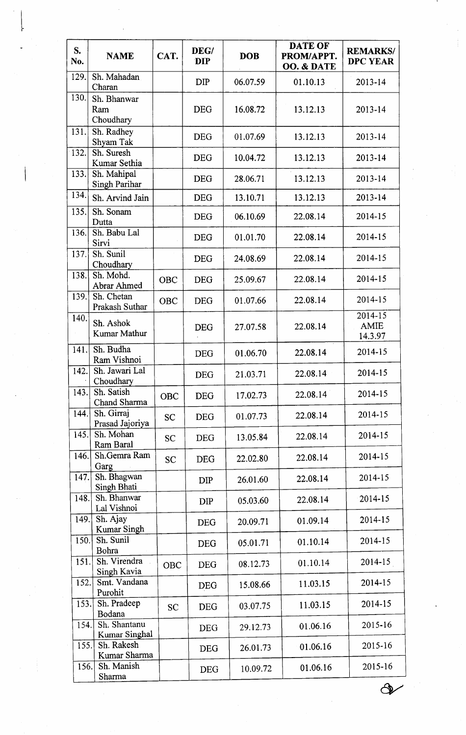| S.<br>No. | <b>NAME</b>                     | CAT.       | DEG/<br><b>DIP</b> | <b>DOB</b> | <b>DATE OF</b><br>PROM/APPT.<br>OO. & DATE | <b>REMARKS/</b><br><b>DPC YEAR</b> |
|-----------|---------------------------------|------------|--------------------|------------|--------------------------------------------|------------------------------------|
| 129.      | Sh. Mahadan<br>Charan           |            | <b>DIP</b>         | 06.07.59   | 01.10.13                                   | $2013 - 14$                        |
| 130.      | Sh. Bhanwar<br>Ram<br>Choudhary |            | <b>DEG</b>         | 16.08.72   | 13.12.13                                   | 2013-14                            |
| 131.      | Sh. Radhey<br>Shyam Tak         |            | <b>DEG</b>         | 01.07.69   | 13.12.13                                   | 2013-14                            |
| 132.      | Sh. Suresh<br>Kumar Sethia      |            | <b>DEG</b>         | 10.04.72   | 13.12.13                                   | 2013-14                            |
| 133.      | Sh. Mahipal<br>Singh Parihar    |            | <b>DEG</b>         | 28.06.71   | 13.12.13                                   | 2013-14                            |
| 134.      | Sh. Arvind Jain                 |            | <b>DEG</b>         | 13.10.71   | 13.12.13                                   | $2013 - 14$                        |
| 135.      | Sh. Sonam<br>Dutta              |            | <b>DEG</b>         | 06.10.69   | 22.08.14                                   | 2014-15                            |
| 136.      | Sh. Babu Lal<br>Sirvi           |            | <b>DEG</b>         | 01.01.70   | 22.08.14                                   | 2014-15                            |
| 137.      | Sh. Sunil<br>Choudhary          |            | <b>DEG</b>         | 24.08.69   | 22.08.14                                   | 2014-15                            |
| 138.      | Sh. Mohd.<br>Abrar Ahmed        | <b>OBC</b> | <b>DEG</b>         | 25.09.67   | 22.08.14                                   | 2014-15                            |
| 139.      | Sh. Chetan<br>Prakash Suthar    | <b>OBC</b> | <b>DEG</b>         | 01.07.66   | 22.08.14                                   | 2014-15                            |
| 140.      | Sh. Ashok<br>Kumar Mathur       |            | <b>DEG</b>         | 27.07.58   | 22.08.14                                   | 2014-15<br><b>AMIE</b><br>14.3.97  |
| 141.      | Sh. Budha<br>Ram Vishnoi        |            | DEG                | 01.06.70   | 22.08.14                                   | 2014-15                            |
| 142.      | Sh. Jawari Lal<br>Choudhary     |            | <b>DEG</b>         | 21.03.71   | 22.08.14                                   | 2014-15                            |
| 143.      | Sh. Satish<br>Chand Sharma      | OBC        | <b>DEG</b>         | 17.02.73   | 22.08.14                                   | 2014-15                            |
| 144.      | Sh. Girraj<br>Prasad Jajoriya   | <b>SC</b>  | <b>DEG</b>         | 01.07.73   | 22.08.14                                   | 2014-15                            |
| 145.      | Sh. Mohan<br>Ram Baral          | <b>SC</b>  | <b>DEG</b>         | 13.05.84   | 22.08.14                                   | 2014-15                            |
| 146.      | Sh.Gemra Ram<br>Garg            | <b>SC</b>  | <b>DEG</b>         | 22.02.80   | 22.08.14                                   | 2014-15                            |
| 147.      | Sh. Bhagwan<br>Singh Bhati      |            | <b>DIP</b>         | 26.01.60   | 22.08.14                                   | 2014-15                            |
| 148.      | Sh. Bhanwar<br>Lal Vishnoi      |            | <b>DIP</b>         | 05.03.60   | 22.08.14                                   | 2014-15                            |
| 149.      | Sh. Ajay<br>Kumar Singh         |            | <b>DEG</b>         | 20.09.71   | 01.09.14                                   | 2014-15                            |
| 150.      | Sh. Sunil<br>Bohra              |            | <b>DEG</b>         | 05.01.71   | 01.10.14                                   | 2014-15                            |
| 151.      | Sh. Virendra<br>Singh Kavia     | <b>OBC</b> | <b>DEG</b>         | 08.12.73   | 01.10.14                                   | 2014-15                            |
| 152.      | Smt. Vandana<br>Purohit         |            | <b>DEG</b>         | 15.08.66   | 11.03.15                                   | 2014-15                            |
| 153.      | Sh. Pradeep<br>Bodana           | <b>SC</b>  | <b>DEG</b>         | 03.07.75   | 11.03.15                                   | 2014-15                            |
| 154.      | Sh. Shantanu<br>Kumar Singhal   |            | <b>DEG</b>         | 29.12.73   | 01.06.16                                   | 2015-16                            |
| 155.      | Sh. Rakesh<br>Kumar Sharma      |            | <b>DEG</b>         | 26.01.73   | 01.06.16                                   | 2015-16                            |
| 156.      | Sh. Manish                      |            | <b>DEG</b>         | 10.09.72   | 01.06.16                                   | 2015-16                            |
|           | Sharma                          |            |                    |            |                                            |                                    |

 $\frac{1}{\sqrt{2}}$ 

**1** 

 $\frac{1}{2}$ 

 $\frac{1}{2}$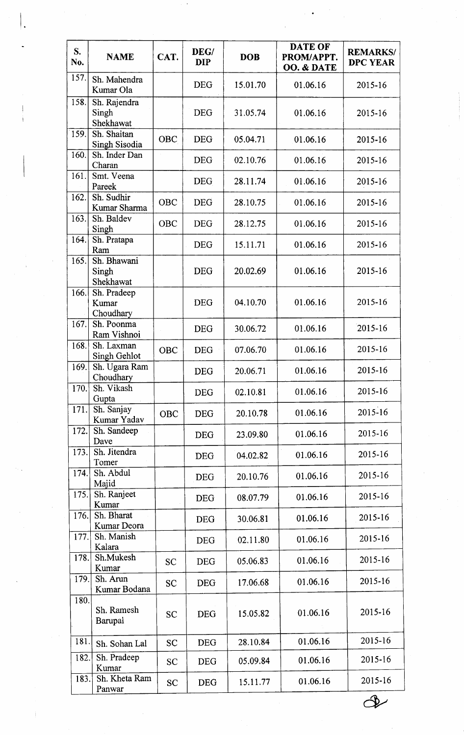| S.<br>No. | <b>NAME</b>                         | CAT.       | DEG/<br><b>DIP</b> | <b>DOB</b> | <b>DATE OF</b><br>PROM/APPT.<br>OO. & DATE | <b>REMARKS/</b><br><b>DPC YEAR</b> |
|-----------|-------------------------------------|------------|--------------------|------------|--------------------------------------------|------------------------------------|
| 157.      | Sh. Mahendra<br>Kumar Ola           |            | <b>DEG</b>         | 15.01.70   | 01.06.16                                   | 2015-16                            |
| 158.      | Sh. Rajendra<br>Singh<br>Shekhawat  |            | <b>DEG</b>         | 31.05.74   | 01.06.16                                   | 2015-16                            |
| 159.      | Sh. Shaitan<br><b>Singh Sisodia</b> | <b>OBC</b> | <b>DEG</b>         | 05.04.71   | 01.06.16                                   | 2015-16                            |
| 160.      | Sh. Inder Dan<br>Charan             |            | <b>DEG</b>         | 02.10.76   | 01.06.16                                   | 2015-16                            |
| 161.      | Smt. Veena<br>Pareek                |            | <b>DEG</b>         | 28.11.74   | 01.06.16                                   | 2015-16                            |
| 162.      | Sh. Sudhir<br>Kumar Sharma          | <b>OBC</b> | <b>DEG</b>         | 28.10.75   | 01.06.16                                   | 2015-16                            |
| 163.      | Sh. Baldev<br>Singh                 | OBC        | <b>DEG</b>         | 28.12.75   | 01.06.16                                   | 2015-16                            |
| 164.      | Sh. Pratapa<br>Ram                  |            | <b>DEG</b>         | 15.11.71   | 01.06.16                                   | 2015-16                            |
| 165.      | Sh. Bhawani<br>Singh<br>Shekhawat   |            | <b>DEG</b>         | 20.02.69   | 01.06.16                                   | 2015-16                            |
| 166.      | Sh. Pradeep<br>Kumar<br>Choudhary   |            | <b>DEG</b>         | 04.10.70   | 01.06.16                                   | 2015-16                            |
| 167.      | Sh. Poonma<br>Ram Vishnoi           |            | <b>DEG</b>         | 30.06.72   | 01.06.16                                   | $2015 - 16$                        |
| 168.      | Sh. Laxman<br>Singh Gehlot          | <b>OBC</b> | <b>DEG</b>         | 07.06.70   | 01.06.16                                   | 2015-16                            |
| 169.      | Sh. Ugara Ram<br>Choudhary          |            | <b>DEG</b>         | 20.06.71   | 01.06.16                                   | 2015-16                            |
| 170.      | Sh. Vikash<br>Gupta                 |            | <b>DEG</b>         | 02.10.81   | 01.06.16                                   | 2015-16                            |
| 171.      | Sh. Sanjay<br>Kumar Yadav           | <b>OBC</b> | <b>DEG</b>         | 20.10.78   | 01.06.16                                   | 2015-16                            |
| 172.      | Sh. Sandeep<br>Dave                 |            | <b>DEG</b>         | 23.09.80   | 01.06.16                                   | 2015-16                            |
| 173.      | Sh. Jitendra<br>Tomer               |            | <b>DEG</b>         | 04.02.82   | 01.06.16                                   | 2015-16                            |
| 174.      | Sh. Abdul<br>Majid                  |            | <b>DEG</b>         | 20.10.76   | 01.06.16                                   | 2015-16                            |
| 175.      | Sh. Ranjeet<br>Kumar                |            | <b>DEG</b>         | 08.07.79   | 01.06.16                                   | 2015-16                            |
| 176.      | Sh. Bharat<br>Kumar Deora           |            | <b>DEG</b>         | 30.06.81   | 01.06.16                                   | 2015-16                            |
| 177.      | Sh. Manish<br>Kalara                |            | <b>DEG</b>         | 02.11.80   | 01.06.16                                   | 2015-16                            |
| 178.      | Sh.Mukesh<br>Kumar                  | <b>SC</b>  | <b>DEG</b>         | 05.06.83   | 01.06.16                                   | 2015-16                            |
| 179.      | Sh. Arun<br>Kumar Bodana            | <b>SC</b>  | <b>DEG</b>         | 17.06.68   | 01.06.16                                   | 2015-16                            |
| 180.      | Sh. Ramesh<br>Barupal               | <b>SC</b>  | <b>DEG</b>         | 15.05.82   | 01.06.16                                   | 2015-16                            |
| 181.      | Sh. Sohan Lal                       | <b>SC</b>  | <b>DEG</b>         | 28.10.84   | 01.06.16                                   | 2015-16                            |
| 182.      | Sh. Pradeep<br>Kumar                | <b>SC</b>  | <b>DEG</b>         | 05.09.84   | 01.06.16                                   | 2015-16                            |
| 183.      | Sh. Kheta Ram<br>Panwar             | <b>SC</b>  | <b>DEG</b>         | 15.11.77   | 01.06.16                                   | 2015-16                            |

I

 $\mathcal{Q}$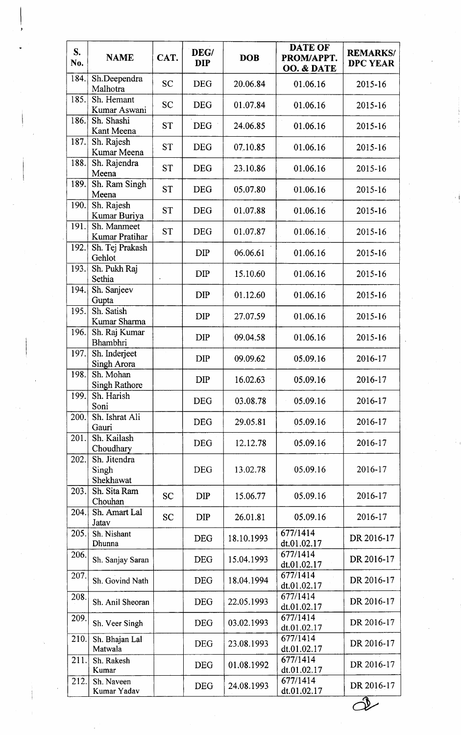| S.<br>No. | <b>NAME</b>                          | CAT.      | DEG/<br><b>DIP</b> | <b>DOB</b> | <b>DATE OF</b><br>PROM/APPT.<br>OO. & DATE | <b>REMARKS/</b><br><b>DPC YEAR</b> |
|-----------|--------------------------------------|-----------|--------------------|------------|--------------------------------------------|------------------------------------|
| 184.      | Sh.Deependra<br>Malhotra             | <b>SC</b> | <b>DEG</b>         | 20.06.84   | 01.06.16                                   | 2015-16                            |
| 185.      | Sh. Hemant<br>Kumar Aswani           | <b>SC</b> | <b>DEG</b>         | 01.07.84   | 01.06.16                                   | 2015-16                            |
| 186.      | Sh. Shashi<br>Kant Meena             | <b>ST</b> | <b>DEG</b>         | 24.06.85   | 01.06.16                                   | 2015-16                            |
| 187.      | Sh. Rajesh<br>Kumar Meena            | <b>ST</b> | <b>DEG</b>         | 07.10.85   | 01.06.16                                   | 2015-16                            |
| 188.      | Sh. Rajendra<br>Meena                | <b>ST</b> | <b>DEG</b>         | 23.10.86   | 01.06.16                                   | 2015-16                            |
| 189.      | Sh. Ram Singh<br>Meena               | <b>ST</b> | <b>DEG</b>         | 05.07.80   | 01.06.16                                   | 2015-16                            |
| 190.      | Sh. Rajesh<br>Kumar Buriya           | <b>ST</b> | <b>DEG</b>         | 01.07.88   | 01.06.16                                   | 2015-16                            |
| 191.      | Sh. Manmeet<br><b>Kumar Pratihar</b> | <b>ST</b> | <b>DEG</b>         | 01.07.87   | 01.06.16                                   | 2015-16                            |
| 192.      | Sh. Tej Prakash<br>Gehlot            |           | <b>DIP</b>         | 06.06.61   | 01.06.16                                   | 2015-16                            |
| 193.      | Sh. Pukh Raj<br>Sethia               |           | <b>DIP</b>         | 15.10.60   | 01.06.16                                   | 2015-16                            |
| 194.      | Sh. Sanjeev<br>Gupta                 |           | <b>DIP</b>         | 01.12.60   | 01.06.16                                   | 2015-16                            |
| 195.      | Sh. Satish<br>Kumar Sharma           |           | <b>DIP</b>         | 27.07.59   | 01.06.16                                   | 2015-16                            |
| 196.      | Sh. Raj Kumar<br>Bhambhri            |           | <b>DIP</b>         | 09.04.58   | 01.06.16                                   | 2015-16                            |
| 197.      | Sh. Inderjeet<br>Singh Arora         |           | <b>DIP</b>         | 09.09.62   | 05.09.16                                   | 2016-17                            |
| 198.      | Sh. Mohan<br><b>Singh Rathore</b>    |           | <b>DIP</b>         | 16.02.63   | 05.09.16                                   | 2016-17                            |
| 199.      | Sh. Harish<br>Soni                   |           | <b>DEG</b>         | 03.08.78   | 05.09.16                                   | 2016-17                            |
| 200.      | Sh. Ishrat Ali<br>Gauri              |           | <b>DEG</b>         | 29.05.81   | 05.09.16                                   | 2016-17                            |
| 201.      | Sh. Kailash<br>Choudhary             |           | <b>DEG</b>         | 12.12.78   | 05.09.16                                   | 2016-17                            |
| 202.      | Sh. Jitendra<br>Singh<br>Shekhawat   |           | <b>DEG</b>         | 13.02.78   | 05.09.16                                   | 2016-17                            |
| 203.      | Sh. Sita Ram<br>Chouhan              | <b>SC</b> | <b>DIP</b>         | 15.06.77   | 05.09.16                                   | 2016-17                            |
| 204.      | Sh. Amart Lal<br>Jatav               | <b>SC</b> | <b>DIP</b>         | 26.01.81   | 05.09.16                                   | 2016-17                            |
| 205.      | Sh. Nishant<br>Dhunna                |           | <b>DEG</b>         | 18.10.1993 | 677/1414<br>dt.01.02.17                    | DR 2016-17                         |
| 206.      | Sh. Sanjay Saran                     |           | <b>DEG</b>         | 15.04.1993 | 677/1414<br>dt.01.02.17                    | DR 2016-17                         |
| 207.      | Sh. Govind Nath                      |           | <b>DEG</b>         | 18.04.1994 | 677/1414<br>dt.01.02.17                    | DR 2016-17                         |
| 208.      | Sh. Anil Sheoran                     |           | <b>DEG</b>         | 22.05.1993 | 677/1414<br>dt.01.02.17                    | DR 2016-17                         |
| 209.      | Sh. Veer Singh                       |           | <b>DEG</b>         | 03.02.1993 | 677/1414<br>dt.01.02.17                    | DR 2016-17                         |
| 210.      | Sh. Bhajan Lal<br>Matwala            |           | <b>DEG</b>         | 23.08.1993 | 677/1414<br>dt.01.02.17                    | DR 2016-17                         |
| 211.      | Sh. Rakesh<br>Kumar                  |           | <b>DEG</b>         | 01.08.1992 | 677/1414<br>dt.01.02.17                    | DR 2016-17                         |
| 212.      | Sh. Naveen<br>Kumar Yadav            |           | <b>DEG</b>         | 24.08.1993 | 677/1414<br>dt.01.02.17                    | DR 2016-17                         |

'1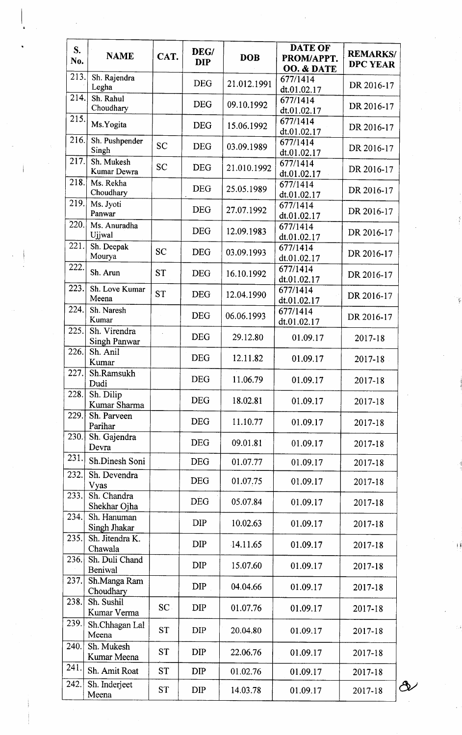| S.<br>No. | <b>NAME</b>                         | CAT.      | DEG/<br><b>DIP</b> | <b>DOB</b>  | <b>DATE OF</b><br>PROM/APPT.          | <b>REMARKS/</b><br><b>DPC YEAR</b> |
|-----------|-------------------------------------|-----------|--------------------|-------------|---------------------------------------|------------------------------------|
| 213.      | Sh. Rajendra<br>Legha               |           | <b>DEG</b>         | 21.012.1991 | OO. & DATE<br>677/1414<br>dt.01.02.17 | DR 2016-17                         |
| 214.      | Sh. Rahul<br>Choudhary              |           | <b>DEG</b>         | 09.10.1992  | 677/1414<br>dt.01.02.17               | DR 2016-17                         |
| 215.      | Ms.Yogita                           |           | <b>DEG</b>         | 15.06.1992  | 677/1414<br>dt.01.02.17               | DR 2016-17                         |
| 216.      | Sh. Pushpender<br>Singh             | <b>SC</b> | <b>DEG</b>         | 03.09.1989  | 677/1414<br>dt.01.02.17               | DR 2016-17                         |
| 217.      | Sh. Mukesh<br>Kumar Dewra           | <b>SC</b> | <b>DEG</b>         | 21.010.1992 | 677/1414<br>dt.01.02.17               | DR 2016-17                         |
| 218.      | Ms. Rekha<br>Choudhary              |           | <b>DEG</b>         | 25.05.1989  | 677/1414<br>dt.01.02.17               | DR 2016-17                         |
| 219.      | Ms. Jyoti<br>Panwar                 |           | <b>DEG</b>         | 27.07.1992  | 677/1414<br>dt.01.02.17               | DR 2016-17                         |
| 220.      | Ms. Anuradha<br>Ujjwal              |           | <b>DEG</b>         | 12.09.1983  | 677/1414<br>dt.01.02.17               | DR 2016-17                         |
| 221.      | Sh. Deepak<br>Mourya                | <b>SC</b> | <b>DEG</b>         | 03.09.1993  | 677/1414<br>dt.01.02.17               | DR 2016-17                         |
| 222.      | Sh. Arun                            | <b>ST</b> | <b>DEG</b>         | 16.10.1992  | 677/1414<br>dt.01.02.17               | DR 2016-17                         |
| 223.      | Sh. Love Kumar<br>Meena             | <b>ST</b> | <b>DEG</b>         | 12.04.1990  | 677/1414<br>dt.01.02.17               | DR 2016-17                         |
| 224.      | Sh. Naresh<br>Kumar                 |           | <b>DEG</b>         | 06.06.1993  | 677/1414<br>dt.01.02.17               | DR 2016-17                         |
| 225.      | Sh. Virendra<br><b>Singh Panwar</b> |           | <b>DEG</b>         | 29.12.80    | 01.09.17                              | 2017-18                            |
| 226.      | Sh. Anil<br>Kumar                   |           | <b>DEG</b>         | 12.11.82    | 01.09.17                              | 2017-18                            |
| 227.      | Sh.Ramsukh<br>Dudi                  |           | <b>DEG</b>         | 11.06.79    | 01.09.17                              | 2017-18                            |
| 228.      | Sh. Dilip<br>Kumar Sharma           |           | <b>DEG</b>         | 18.02.81    | 01.09.17                              | 2017-18                            |
| 229.      | Sh. Parveen<br>Parihar              |           | <b>DEG</b>         | 11.10.77    | 01.09.17                              | 2017-18                            |
| 230.      | Sh. Gajendra<br>Devra               |           | <b>DEG</b>         | 09.01.81    | 01.09.17                              | 2017-18                            |
| 231.      | Sh.Dinesh Soni                      |           | <b>DEG</b>         | 01.07.77    | 01.09.17                              | 2017-18                            |
| 232.      | Sh. Devendra<br>Vyas                |           | <b>DEG</b>         | 01.07.75    | 01.09.17                              | 2017-18                            |
| 233.      | Sh. Chandra<br>Shekhar Ojha         |           | <b>DEG</b>         | 05.07.84    | 01.09.17                              | 2017-18                            |
| 234.      | Sh. Hanuman<br>Singh Jhakar         |           | DIP                | 10.02.63    | 01.09.17                              | 2017-18                            |
| 235.      | Sh. Jitendra K.<br>Chawala          |           | <b>DIP</b>         | 14.11.65    | 01.09.17                              | 2017-18                            |
| 236.      | Sh. Duli Chand<br>Beniwal           |           | <b>DIP</b>         | 15.07.60    | 01.09.17                              | 2017-18                            |
| 237.      | Sh.Manga Ram<br>Choudhary           |           | <b>DIP</b>         | 04.04.66    | 01.09.17                              | 2017-18                            |
| 238.      | Sh. Sushil<br>Kumar Verma           | SC        | <b>DIP</b>         | 01.07.76    | 01.09.17                              | 2017-18                            |
| 239.      | Sh.Chhagan Lal<br>Meena             | <b>ST</b> | <b>DIP</b>         | 20.04.80    | 01.09.17                              | 2017-18                            |
| 240.      | Sh. Mukesh<br>Kumar Meena           | <b>ST</b> | <b>DIP</b>         | 22.06.76    | 01.09.17                              | 2017-18                            |
| 241.      | Sh. Amit Roat                       | <b>ST</b> | <b>DIP</b>         | 01.02.76    | 01.09.17                              | 2017-18                            |
| 242.      | Sh. Inderjeet<br>Meena              | <b>ST</b> | <b>DIP</b>         | 14.03.78    | 01.09.17                              | ථැ<br>2017-18                      |

t{